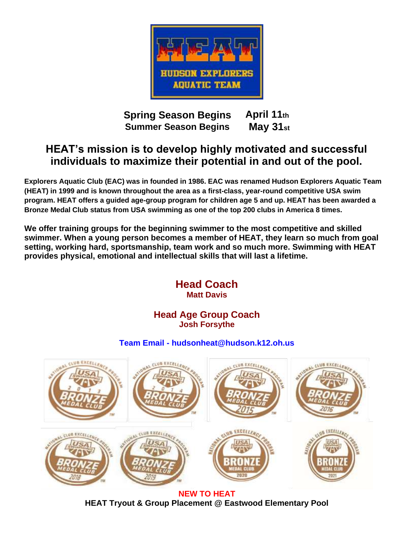

**Spring Season Begins Summer Season Begins April 11th May 31st**

## **HEAT's mission is to develop highly motivated and successful individuals to maximize their potential in and out of the pool.**

**Explorers Aquatic Club (EAC) was in founded in 1986. EAC was renamed Hudson Explorers Aquatic Team (HEAT) in 1999 and is known throughout the area as a first-class, year-round competitive USA swim program. HEAT offers a guided age-group program for children age 5 and up. HEAT has been awarded a Bronze Medal Club status from USA swimming as one of the top 200 clubs in America 8 times.**

**We offer training groups for the beginning swimmer to the most competitive and skilled swimmer. When a young person becomes a member of HEAT, they learn so much from goal setting, working hard, sportsmanship, team work and so much more. Swimming with HEAT provides physical, emotional and intellectual skills that will last a lifetime.**



**NEW TO HEAT HEAT Tryout & Group Placement @ Eastwood Elementary Pool**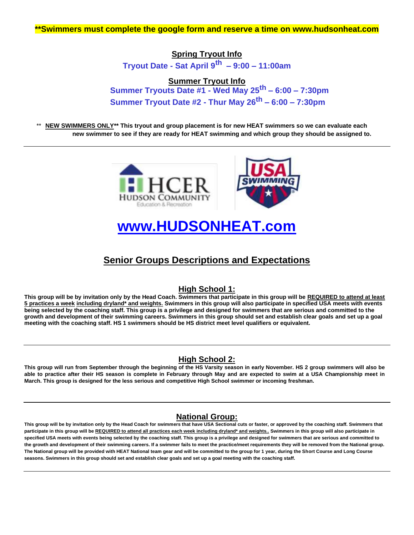## **Spring Tryout Info Tryout Date - Sat April 9th – 9:00 – 11:00am**

### **Summer Tryout Info Summer Tryouts Date #1 - Wed May 25th – 6:00 – 7:30pm Summer Tryout Date #2 - Thur May 26th – 6:00 – 7:30pm**

**NEW SWIMMERS ONLY\*\*** This tryout and group placement is for new HEAT swimmers so we can evaluate each **new swimmer to see if they are ready for HEAT swimming and which group they should be assigned to.**



# **www.HUDSONHEAT.com**

## **Senior Groups Descriptions and Expectations**

### **High School 1:**

**This group will be by invitation only by the Head Coach. Swimmers that participate in this group will be REQUIRED to attend at least 5 practices a week including dryland\* and weights. Swimmers in this group will also participate in specified USA meets with events being selected by the coaching staff. This group is a privilege and designed for swimmers that are serious and committed to the growth and development of their swimming careers. Swimmers in this group should set and establish clear goals and set up a goal meeting with the coaching staff. HS 1 swimmers should be HS district meet level qualifiers or equivalent.**

## **High School 2:**

**This group will run from September through the beginning of the HS Varsity season in early November. HS 2 group swimmers will also be able to practice after their HS season is complete in February through May and are expected to swim at a USA Championship meet in March. This group is designed for the less serious and competitive High School swimmer or incoming freshman.**

### **National Group:**

**This group will be by invitation only by the Head Coach for swimmers that have USA Sectional cuts or faster, or approved by the coaching staff. Swimmers that participate in this group will be REQUIRED to attend all practices each week including dryland\* and weights.. Swimmers in this group will also participate in specified USA meets with events being selected by the coaching staff. This group is a privilege and designed for swimmers that are serious and committed to the growth and development of their swimming careers. If a swimmer fails to meet the practice/meet requirements they will be removed from the National group. The National group will be provided with HEAT National team gear and will be committed to the group for 1 year, during the Short Course and Long Course seasons. Swimmers in this group should set and establish clear goals and set up a goal meeting with the coaching staff.**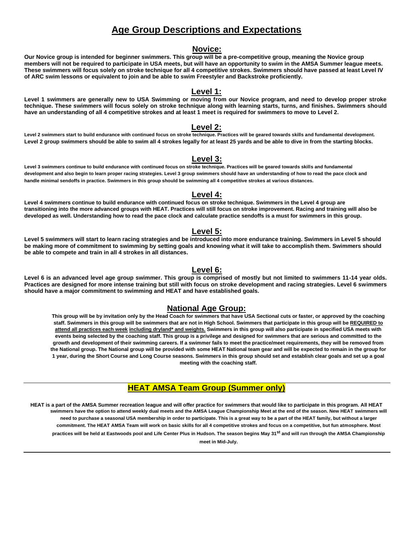## **Age Group Descriptions and Expectations**

#### **Novice:**

**Our Novice group is intended for beginner swimmers. This group will be a pre-competitive group, meaning the Novice group members will not be required to participate in USA meets, but will have an opportunity to swim in the AMSA Summer league meets. These swimmers will focus solely on stroke technique for all 4 competitive strokes. Swimmers should have passed at least Level IV of ARC swim lessons or equivalent to join and be able to swim Freestyler and Backstroke proficiently.**

#### **Level 1:**

**Level 1 swimmers are generally new to USA Swimming or moving from our Novice program, and need to develop proper stroke technique. These swimmers will focus solely on stroke technique along with learning starts, turns, and finishes. Swimmers should have an understanding of all 4 competitive strokes and at least 1 meet is required for swimmers to move to Level 2.**

#### **Level 2:**

**Level 2 swimmers start to build endurance with continued focus on stroke technique. Practices will be geared towards skills and fundamental development. Level 2 group swimmers should be able to swim all 4 strokes legally for at least 25 yards and be able to dive in from the starting blocks.**

#### **Level 3:**

**Level 3 swimmers continue to build endurance with continued focus on stroke technique. Practices will be geared towards skills and fundamental development and also begin to learn proper racing strategies. Level 3 group swimmers should have an understanding of how to read the pace clock and handle minimal sendoffs in practice. Swimmers in this group should be swimming all 4 competitive strokes at various distances.**

#### **Level 4:**

**Level 4 swimmers continue to build endurance with continued focus on stroke technique. Swimmers in the Level 4 group are transitioning into the more advanced groups with HEAT. Practices will still focus on stroke improvement. Racing and training will also be developed as well. Understanding how to read the pace clock and calculate practice sendoffs is a must for swimmers in this group.**

#### **Level 5:**

**Level 5 swimmers will start to learn racing strategies and be introduced into more endurance training. Swimmers in Level 5 should be making more of commitment to swimming by setting goals and knowing what it will take to accomplish them. Swimmers should be able to compete and train in all 4 strokes in all distances.**

#### **Level 6:**

**Level 6 is an advanced level age group swimmer. This group is comprised of mostly but not limited to swimmers 11-14 year olds. Practices are designed for more intense training but still with focus on stroke development and racing strategies. Level 6 swimmers should have a major commitment to swimming and HEAT and have established goals.**

#### **National Age Group:**

**This group will be by invitation only by the Head Coach for swimmers that have USA Sectional cuts or faster, or approved by the coaching staff. Swimmers in this group will be swimmers that are not in High School. Swimmers that participate in this group will be REQUIRED to attend all practices each week including dryland\* and weights. Swimmers in this group will also participate in specified USA meets with events being selected by the coaching staff. This group is a privilege and designed for swimmers that are serious and committed to the growth and development of their swimming careers. If a swimmer fails to meet the practice/meet requirements, they will be removed from the National group. The National group will be provided with some HEAT National team gear and will be expected to remain in the group for 1 year, during the Short Course and Long Course seasons. Swimmers in this group should set and establish clear goals and set up a goal meeting with the coaching staff.**

#### **HEAT AMSA Team Group (Summer only)**

**HEAT is a part of the AMSA Summer recreation league and will offer practice for swimmers that would like to participate in this program. All HEAT swimmers have the option to attend weekly dual meets and the AMSA League Championship Meet at the end of the season. New HEAT swimmers will need to purchase a seasonal USA membership in order to participate. This is a great way to be a part of the HEAT family, but without a larger commitment. The HEAT AMSA Team will work on basic skills for all 4 competitive strokes and focus on a competitive, but fun atmosphere. Most practices will be held at Eastwoods pool and Life Center Plus in Hudson. The season begins May 31st and will run through the AMSA Championship meet in Mid-July.**